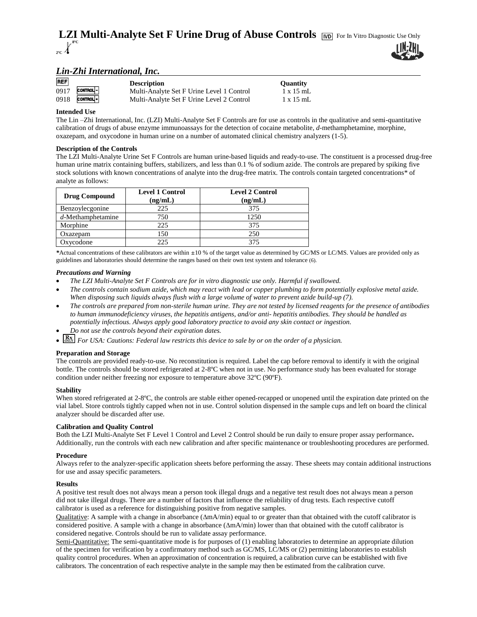#### **LZI Multi-Analyte Set F Urine Drug of Abuse Controls** [ND] For In Vitro Diagnostic Use Only  $\mathbb{R}^{8}$ **8ºC 2ºC**

# *Lin-Zhi International, Inc.*

| <b>REF</b> |                      | <b>Description</b>                        | <b>Ouantity</b>  |
|------------|----------------------|-------------------------------------------|------------------|
| 0917       | CONTROL-             | Multi-Analyte Set F Urine Level 1 Control | $1 \times 15$ mL |
| 0918       | CONTROL <sup>+</sup> | Multi-Analyte Set F Urine Level 2 Control | $1 \times 15$ mL |

## **Intended Use**

The Lin –Zhi International, Inc. (LZI) Multi-Analyte Set F Controls are for use as controls in the qualitative and semi-quantitative calibration of drugs of abuse enzyme immunoassays for the detection of cocaine metabolite, *d*-methamphetamine, morphine, oxazepam, and oxycodone in human urine on a number of automated clinical chemistry analyzers (1-5).

## **Description of the Controls**

The LZI Multi-Analyte Urine Set F Controls are human urine-based liquids and ready-to-use. The constituent is a processed drug-free human urine matrix containing buffers, stabilizers, and less than 0.1 % of sodium azide. The controls are prepared by spiking five stock solutions with known concentrations of analyte into the drug-free matrix. The controls contain targeted concentrations\* of analyte as follows:

| <b>Drug Compound</b> | <b>Level 1 Control</b><br>(ng/mL) | <b>Level 2 Control</b><br>(ng/mL) |
|----------------------|-----------------------------------|-----------------------------------|
| Benzoylecgonine      | 225                               | 375                               |
| $d$ -Methamphetamine | 750                               | 1250                              |
| Morphine             | 225                               | 375                               |
| Oxazepam             | 150                               | 250                               |
| Oxycodone            | 225                               | 375                               |

*\**Actual concentrations of these calibrators are within ±10 % of the target value as determined by GC/MS or LC/MS. Values are provided only as guidelines and laboratories should determine the ranges based on their own test system and tolerance (6).

### *Precautions and Warning*

- *The LZI Multi-Analyte Set F Controls are for in vitro diagnostic use only. Harmful if swallowed.*
- *The controls contain sodium azide, which may react with lead or copper plumbing to form potentially explosive metal azide. When disposing such liquids always flush with a large volume of water to prevent azide build-up (7).*
- *The controls are prepared from non-sterile human urine. They are not tested by licensed reagents for the presence of antibodies to human immunodeficiency viruses, the hepatitis antigens, and/or anti- hepatitis antibodies. They should be handled as potentially infectious. Always apply good laboratory practice to avoid any skin contact or ingestion.*
- *Do not use the controls beyond their expiration dates.*
- *RX For USA: Cautions: Federal law restricts this device to sale by or on the order of a physician.*

## **Preparation and Storage**

The controls are provided ready-to-use. No reconstitution is required. Label the cap before removal to identify it with the original bottle. The controls should be stored refrigerated at 2-8ºC when not in use. No performance study has been evaluated for storage condition under neither freezing nor exposure to temperature above 32ºC (90ºF).

#### **Stability**

When stored refrigerated at 2-8°C, the controls are stable either opened-recapped or unopened until the expiration date printed on the vial label. Store controls tightly capped when not in use. Control solution dispensed in the sample cups and left on board the clinical analyzer should be discarded after use.

#### **Calibration and Quality Control**

Both the LZI Multi-Analyte Set F Level 1 Control and Level 2 Control should be run daily to ensure proper assay performance**.**  Additionally, run the controls with each new calibration and after specific maintenance or troubleshooting procedures are performed.

#### **Procedure**

Always refer to the analyzer-specific application sheets before performing the assay. These sheets may contain additional instructions for use and assay specific parameters.

#### **Results**

A positive test result does not always mean a person took illegal drugs and a negative test result does not always mean a person did not take illegal drugs. There are a number of factors that influence the reliability of drug tests. Each respective cutoff calibrator is used as a reference for distinguishing positive from negative samples.

Qualitative: A sample with a change in absorbance  $(\Delta m A/min)$  equal to or greater than that obtained with the cutoff calibrator is considered positive. A sample with a change in absorbance  $(\Delta m A/min)$  lower than that obtained with the cutoff calibrator is considered negative. Controls should be run to validate assay performance.

Semi-Quantitative: The semi-quantitative mode is for purposes of (1) enabling laboratories to determine an appropriate dilution of the specimen for verification by a confirmatory method such as GC/MS, LC/MS or (2) permitting laboratories to establish quality control procedures. When an approximation of concentration is required, a calibration curve can be established with five calibrators. The concentration of each respective analyte in the sample may then be estimated from the calibration curve.